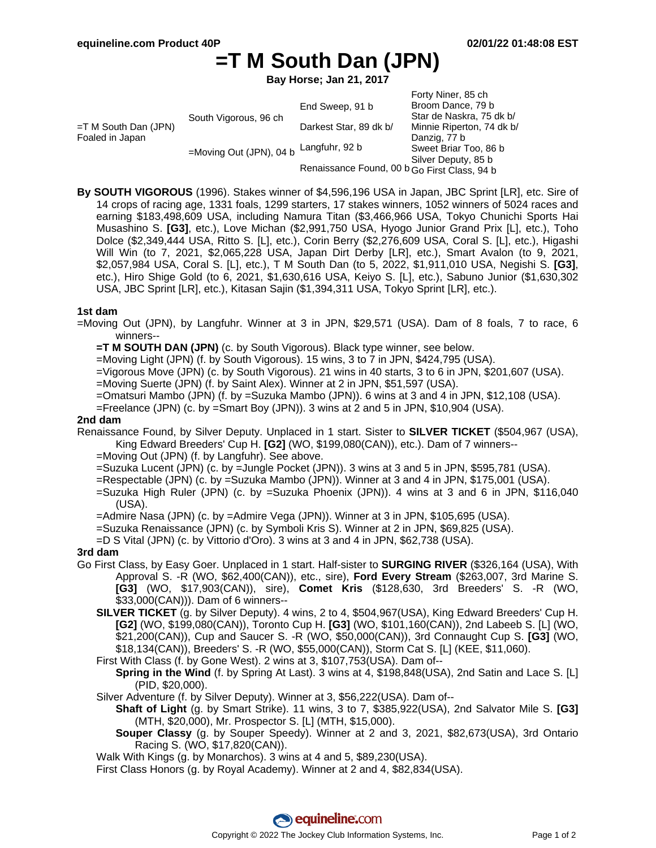# **=T M South Dan (JPN)**

**Bay Horse; Jan 21, 2017**

|  |                                              | Forty Niner, 85 ch        |
|--|----------------------------------------------|---------------------------|
|  | End Sweep, 91 b                              | Broom Dance, 79 b         |
|  |                                              | Star de Naskra, 75 dk b/  |
|  | Darkest Star, 89 dk b/                       | Minnie Riperton, 74 dk b/ |
|  |                                              | Danzig, 77 b              |
|  | Langfuhr, 92 b                               | Sweet Briar Too, 86 b     |
|  |                                              | Silver Deputy, 85 b       |
|  | Renaissance Found, 00 b Go First Class, 94 b |                           |
|  | South Vigorous, 96 ch                        | =Moving Out (JPN), 04 b   |

**By SOUTH VIGOROUS** (1996). Stakes winner of \$4,596,196 USA in Japan, JBC Sprint [LR], etc. Sire of 14 crops of racing age, 1331 foals, 1299 starters, 17 stakes winners, 1052 winners of 5024 races and earning \$183,498,609 USA, including Namura Titan (\$3,466,966 USA, Tokyo Chunichi Sports Hai Musashino S. **[G3]**, etc.), Love Michan (\$2,991,750 USA, Hyogo Junior Grand Prix [L], etc.), Toho Dolce (\$2,349,444 USA, Ritto S. [L], etc.), Corin Berry (\$2,276,609 USA, Coral S. [L], etc.), Higashi Will Win (to 7, 2021, \$2,065,228 USA, Japan Dirt Derby [LR], etc.), Smart Avalon (to 9, 2021, \$2,057,984 USA, Coral S. [L], etc.), T M South Dan (to 5, 2022, \$1,911,010 USA, Negishi S. **[G3]**, etc.), Hiro Shige Gold (to 6, 2021, \$1,630,616 USA, Keiyo S. [L], etc.), Sabuno Junior (\$1,630,302 USA, JBC Sprint [LR], etc.), Kitasan Sajin (\$1,394,311 USA, Tokyo Sprint [LR], etc.).

#### **1st dam**

=Moving Out (JPN), by Langfuhr. Winner at 3 in JPN, \$29,571 (USA). Dam of 8 foals, 7 to race, 6 winners--

- **=T M SOUTH DAN (JPN)** (c. by South Vigorous). Black type winner, see below.
- =Moving Light (JPN) (f. by South Vigorous). 15 wins, 3 to 7 in JPN, \$424,795 (USA).

=Vigorous Move (JPN) (c. by South Vigorous). 21 wins in 40 starts, 3 to 6 in JPN, \$201,607 (USA).

- =Moving Suerte (JPN) (f. by Saint Alex). Winner at 2 in JPN, \$51,597 (USA).
- =Omatsuri Mambo (JPN) (f. by =Suzuka Mambo (JPN)). 6 wins at 3 and 4 in JPN, \$12,108 (USA).

=Freelance (JPN) (c. by =Smart Boy (JPN)). 3 wins at 2 and 5 in JPN, \$10,904 (USA).

#### **2nd dam**

- Renaissance Found, by Silver Deputy. Unplaced in 1 start. Sister to **SILVER TICKET** (\$504,967 (USA), King Edward Breeders' Cup H. **[G2]** (WO, \$199,080(CAN)), etc.). Dam of 7 winners--
	- =Moving Out (JPN) (f. by Langfuhr). See above.
	- =Suzuka Lucent (JPN) (c. by =Jungle Pocket (JPN)). 3 wins at 3 and 5 in JPN, \$595,781 (USA).
	- =Respectable (JPN) (c. by =Suzuka Mambo (JPN)). Winner at 3 and 4 in JPN, \$175,001 (USA).
	- =Suzuka High Ruler (JPN) (c. by =Suzuka Phoenix (JPN)). 4 wins at 3 and 6 in JPN, \$116,040 (USA).
	- =Admire Nasa (JPN) (c. by =Admire Vega (JPN)). Winner at 3 in JPN, \$105,695 (USA).
	- =Suzuka Renaissance (JPN) (c. by Symboli Kris S). Winner at 2 in JPN, \$69,825 (USA).

=D S Vital (JPN) (c. by Vittorio d'Oro). 3 wins at 3 and 4 in JPN, \$62,738 (USA).

#### **3rd dam**

- Go First Class, by Easy Goer. Unplaced in 1 start. Half-sister to **SURGING RIVER** (\$326,164 (USA), With Approval S. -R (WO, \$62,400(CAN)), etc., sire), **Ford Every Stream** (\$263,007, 3rd Marine S. **[G3]** (WO, \$17,903(CAN)), sire), **Comet Kris** (\$128,630, 3rd Breeders' S. -R (WO, \$33,000(CAN))). Dam of 6 winners--
	- **SILVER TICKET** (g. by Silver Deputy). 4 wins, 2 to 4, \$504,967(USA), King Edward Breeders' Cup H. **[G2]** (WO, \$199,080(CAN)), Toronto Cup H. **[G3]** (WO, \$101,160(CAN)), 2nd Labeeb S. [L] (WO, \$21,200(CAN)), Cup and Saucer S. -R (WO, \$50,000(CAN)), 3rd Connaught Cup S. **[G3]** (WO, \$18,134(CAN)), Breeders' S. -R (WO, \$55,000(CAN)), Storm Cat S. [L] (KEE, \$11,060).
	- First With Class (f. by Gone West). 2 wins at 3, \$107,753(USA). Dam of--
		- **Spring in the Wind** (f. by Spring At Last). 3 wins at 4, \$198,848(USA), 2nd Satin and Lace S. [L] (PID, \$20,000).
	- Silver Adventure (f. by Silver Deputy). Winner at 3, \$56,222(USA). Dam of--
		- **Shaft of Light** (g. by Smart Strike). 11 wins, 3 to 7, \$385,922(USA), 2nd Salvator Mile S. **[G3]** (MTH, \$20,000), Mr. Prospector S. [L] (MTH, \$15,000).
		- **Souper Classy** (g. by Souper Speedy). Winner at 2 and 3, 2021, \$82,673(USA), 3rd Ontario Racing S. (WO, \$17,820(CAN)).
	- Walk With Kings (g. by Monarchos). 3 wins at 4 and 5, \$89,230(USA).
	- First Class Honors (g. by Royal Academy). Winner at 2 and 4, \$82,834(USA).